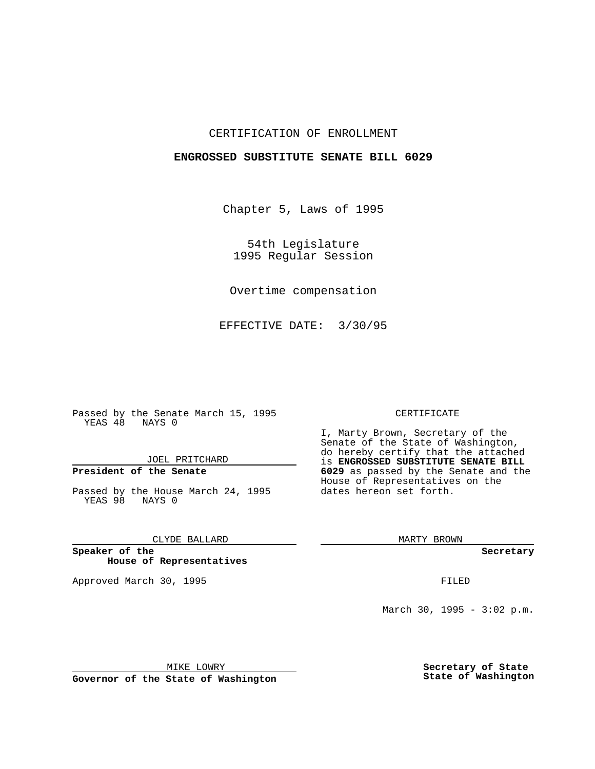## CERTIFICATION OF ENROLLMENT

## **ENGROSSED SUBSTITUTE SENATE BILL 6029**

Chapter 5, Laws of 1995

54th Legislature 1995 Regular Session

Overtime compensation

EFFECTIVE DATE: 3/30/95

Passed by the Senate March 15, 1995 YEAS 48 NAYS 0

JOEL PRITCHARD

# **President of the Senate**

Passed by the House March 24, 1995 YEAS 98 NAYS 0

CLYDE BALLARD

**Speaker of the House of Representatives**

Approved March 30, 1995 FILED

#### CERTIFICATE

I, Marty Brown, Secretary of the Senate of the State of Washington, do hereby certify that the attached is **ENGROSSED SUBSTITUTE SENATE BILL 6029** as passed by the Senate and the House of Representatives on the dates hereon set forth.

MARTY BROWN

**Secretary**

March 30, 1995 -  $3:02$  p.m.

MIKE LOWRY **Governor of the State of Washington** **Secretary of State State of Washington**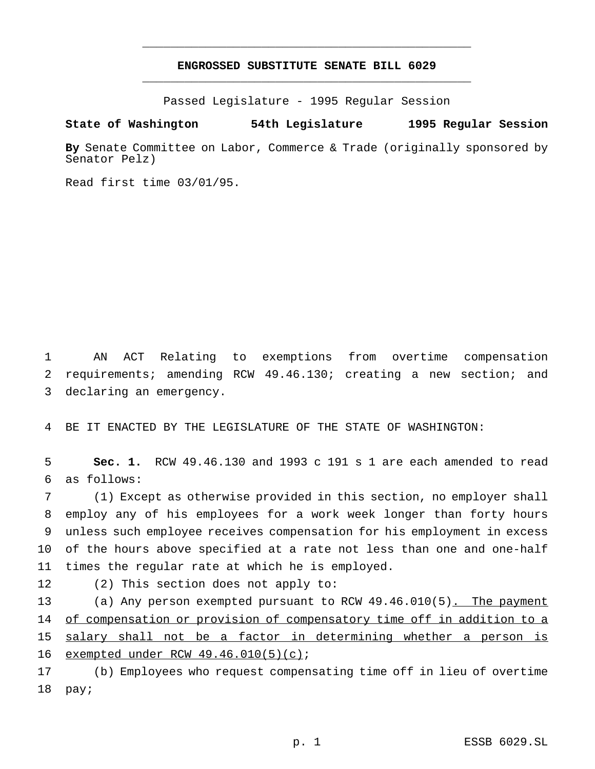## **ENGROSSED SUBSTITUTE SENATE BILL 6029** \_\_\_\_\_\_\_\_\_\_\_\_\_\_\_\_\_\_\_\_\_\_\_\_\_\_\_\_\_\_\_\_\_\_\_\_\_\_\_\_\_\_\_\_\_\_\_

\_\_\_\_\_\_\_\_\_\_\_\_\_\_\_\_\_\_\_\_\_\_\_\_\_\_\_\_\_\_\_\_\_\_\_\_\_\_\_\_\_\_\_\_\_\_\_

Passed Legislature - 1995 Regular Session

### **State of Washington 54th Legislature 1995 Regular Session**

**By** Senate Committee on Labor, Commerce & Trade (originally sponsored by Senator Pelz)

Read first time 03/01/95.

1 AN ACT Relating to exemptions from overtime compensation 2 requirements; amending RCW 49.46.130; creating a new section; and 3 declaring an emergency.

4 BE IT ENACTED BY THE LEGISLATURE OF THE STATE OF WASHINGTON:

5 **Sec. 1.** RCW 49.46.130 and 1993 c 191 s 1 are each amended to read 6 as follows:

 (1) Except as otherwise provided in this section, no employer shall employ any of his employees for a work week longer than forty hours unless such employee receives compensation for his employment in excess of the hours above specified at a rate not less than one and one-half times the regular rate at which he is employed.

12 (2) This section does not apply to:

13 (a) Any person exempted pursuant to RCW 49.46.010(5). The payment 14 of compensation or provision of compensatory time off in addition to a 15 salary shall not be a factor in determining whether a person is 16 exempted under RCW 49.46.010(5)(c);

17 (b) Employees who request compensating time off in lieu of overtime 18 pay;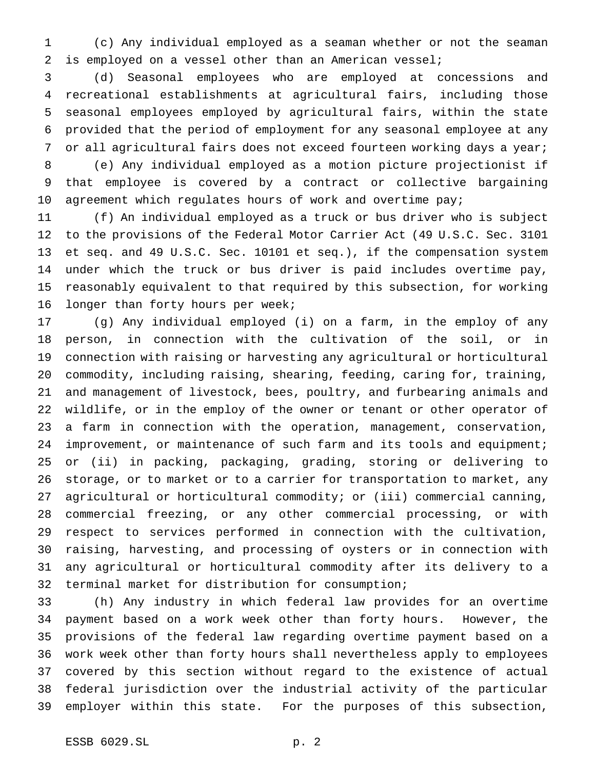(c) Any individual employed as a seaman whether or not the seaman is employed on a vessel other than an American vessel;

 (d) Seasonal employees who are employed at concessions and recreational establishments at agricultural fairs, including those seasonal employees employed by agricultural fairs, within the state provided that the period of employment for any seasonal employee at any 7 or all agricultural fairs does not exceed fourteen working days a year; (e) Any individual employed as a motion picture projectionist if that employee is covered by a contract or collective bargaining

10 agreement which regulates hours of work and overtime pay;

 (f) An individual employed as a truck or bus driver who is subject to the provisions of the Federal Motor Carrier Act (49 U.S.C. Sec. 3101 et seq. and 49 U.S.C. Sec. 10101 et seq.), if the compensation system under which the truck or bus driver is paid includes overtime pay, reasonably equivalent to that required by this subsection, for working longer than forty hours per week;

 (g) Any individual employed (i) on a farm, in the employ of any person, in connection with the cultivation of the soil, or in connection with raising or harvesting any agricultural or horticultural commodity, including raising, shearing, feeding, caring for, training, and management of livestock, bees, poultry, and furbearing animals and wildlife, or in the employ of the owner or tenant or other operator of a farm in connection with the operation, management, conservation, 24 improvement, or maintenance of such farm and its tools and equipment; or (ii) in packing, packaging, grading, storing or delivering to storage, or to market or to a carrier for transportation to market, any agricultural or horticultural commodity; or (iii) commercial canning, commercial freezing, or any other commercial processing, or with respect to services performed in connection with the cultivation, raising, harvesting, and processing of oysters or in connection with any agricultural or horticultural commodity after its delivery to a terminal market for distribution for consumption;

 (h) Any industry in which federal law provides for an overtime payment based on a work week other than forty hours. However, the provisions of the federal law regarding overtime payment based on a work week other than forty hours shall nevertheless apply to employees covered by this section without regard to the existence of actual federal jurisdiction over the industrial activity of the particular employer within this state. For the purposes of this subsection,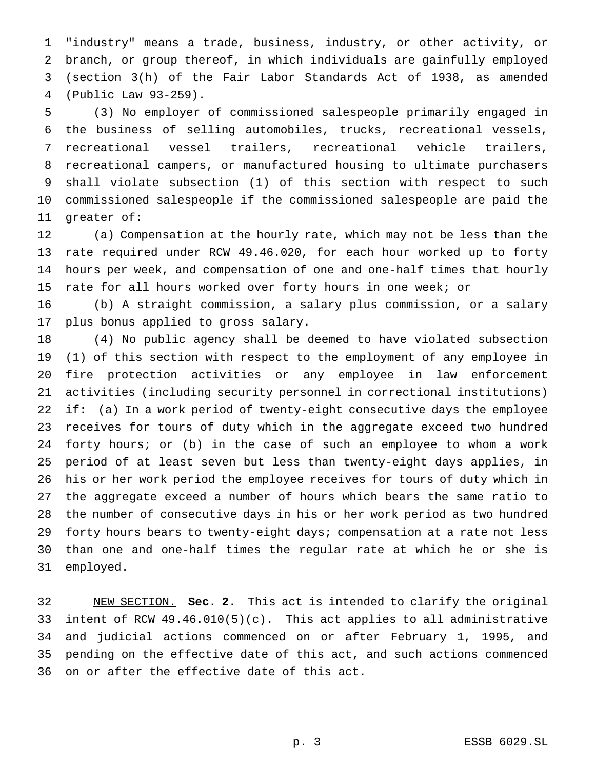"industry" means a trade, business, industry, or other activity, or branch, or group thereof, in which individuals are gainfully employed (section 3(h) of the Fair Labor Standards Act of 1938, as amended (Public Law 93-259).

 (3) No employer of commissioned salespeople primarily engaged in the business of selling automobiles, trucks, recreational vessels, recreational vessel trailers, recreational vehicle trailers, recreational campers, or manufactured housing to ultimate purchasers shall violate subsection (1) of this section with respect to such commissioned salespeople if the commissioned salespeople are paid the greater of:

 (a) Compensation at the hourly rate, which may not be less than the rate required under RCW 49.46.020, for each hour worked up to forty hours per week, and compensation of one and one-half times that hourly rate for all hours worked over forty hours in one week; or

 (b) A straight commission, a salary plus commission, or a salary plus bonus applied to gross salary.

 (4) No public agency shall be deemed to have violated subsection (1) of this section with respect to the employment of any employee in fire protection activities or any employee in law enforcement activities (including security personnel in correctional institutions) if: (a) In a work period of twenty-eight consecutive days the employee receives for tours of duty which in the aggregate exceed two hundred forty hours; or (b) in the case of such an employee to whom a work period of at least seven but less than twenty-eight days applies, in his or her work period the employee receives for tours of duty which in the aggregate exceed a number of hours which bears the same ratio to the number of consecutive days in his or her work period as two hundred forty hours bears to twenty-eight days; compensation at a rate not less than one and one-half times the regular rate at which he or she is employed.

 NEW SECTION. **Sec. 2.** This act is intended to clarify the original intent of RCW 49.46.010(5)(c). This act applies to all administrative and judicial actions commenced on or after February 1, 1995, and pending on the effective date of this act, and such actions commenced on or after the effective date of this act.